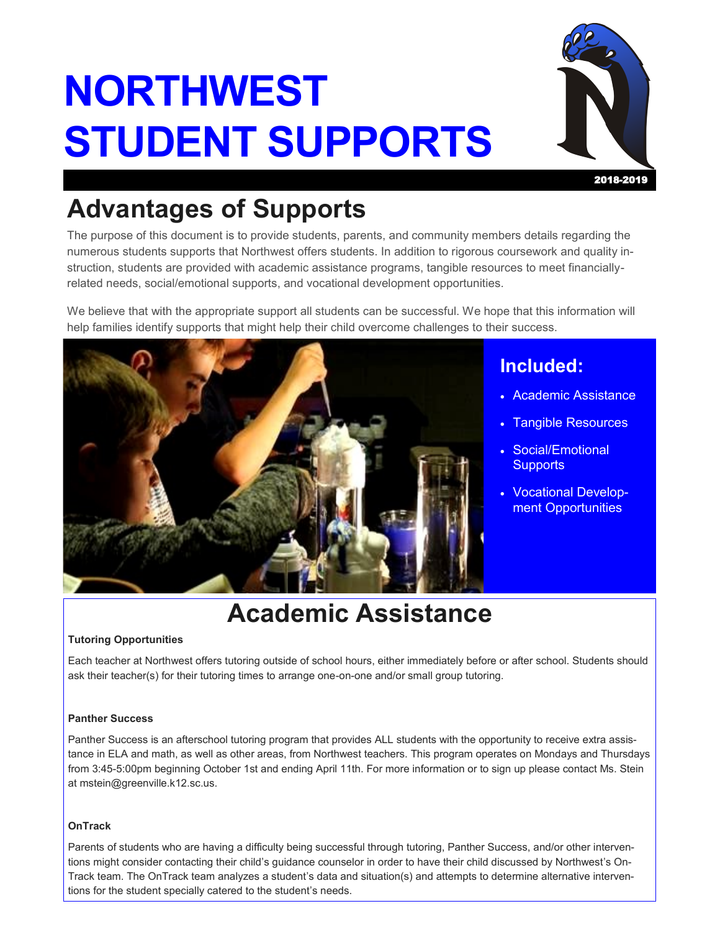# **NORTHWEST STUDENT SUPPORTS**



## **Advantages of Supports**

The purpose of this document is to provide students, parents, and community members details regarding the numerous students supports that Northwest offers students. In addition to rigorous coursework and quality instruction, students are provided with academic assistance programs, tangible resources to meet financiallyrelated needs, social/emotional supports, and vocational development opportunities.

We believe that with the appropriate support all students can be successful. We hope that this information will help families identify supports that might help their child overcome challenges to their success.



### **Included:**

- Academic Assistance
- Tangible Resources
- Social/Emotional **Supports**
- Vocational Development Opportunities

## **Academic Assistance**

#### **Tutoring Opportunities**

Each teacher at Northwest offers tutoring outside of school hours, either immediately before or after school. Students should ask their teacher(s) for their tutoring times to arrange one-on-one and/or small group tutoring.

#### **Panther Success**

Panther Success is an afterschool tutoring program that provides ALL students with the opportunity to receive extra assistance in ELA and math, as well as other areas, from Northwest teachers. This program operates on Mondays and Thursdays from 3:45-5:00pm beginning October 1st and ending April 11th. For more information or to sign up please contact Ms. Stein at mstein@greenville.k12.sc.us.

#### **OnTrack**

Parents of students who are having a difficulty being successful through tutoring, Panther Success, and/or other interventions might consider contacting their child's guidance counselor in order to have their child discussed by Northwest's On-Track team. The OnTrack team analyzes a student's data and situation(s) and attempts to determine alternative interventions for the student specially catered to the student's needs.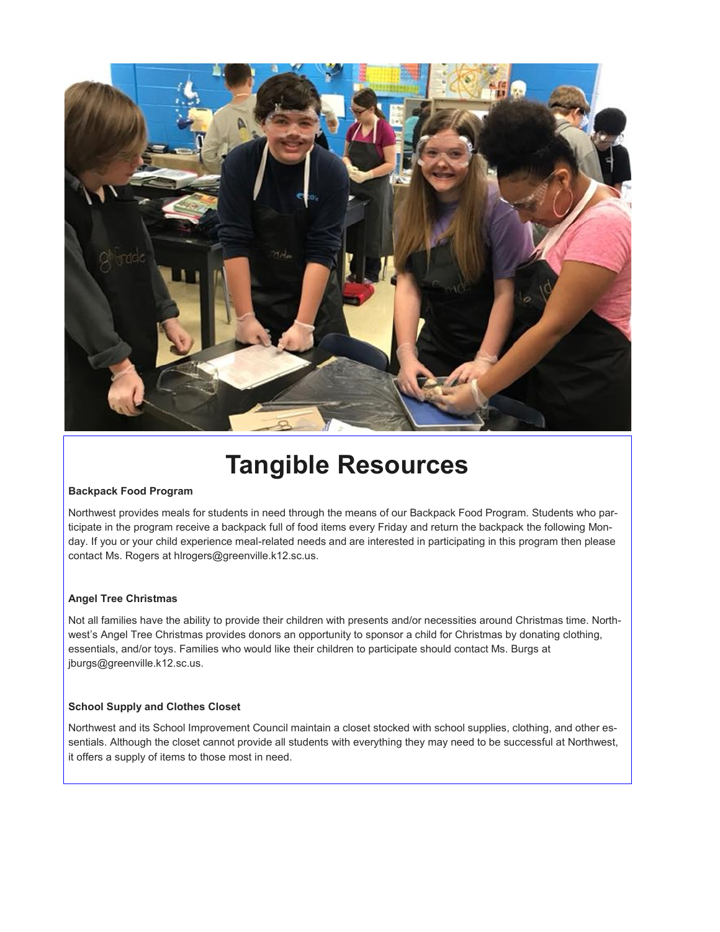

### **Tangible Resources**

#### **Backpack Food Program**

Northwest provides meals for students in need through the means of our Backpack Food Program. Students who participate in the program receive a backpack full of food items every Friday and return the backpack the following Monday. If you or your child experience meal-related needs and are interested in participating in this program then please contact Ms. Rogers at hlrogers@greenville.k12.sc.us.

#### **Angel Tree Christmas**

Not all families have the ability to provide their children with presents and/or necessities around Christmas time. Northwest's Angel Tree Christmas provides donors an opportunity to sponsor a child for Christmas by donating clothing, essentials, and/or toys. Families who would like their children to participate should contact Ms. Burgs at jburgs@greenville.k12.sc.us.

#### **School Supply and Clothes Closet**

Northwest and its School Improvement Council maintain a closet stocked with school supplies, clothing, and other essentials. Although the closet cannot provide all students with everything they may need to be successful at Northwest, it offers a supply of items to those most in need.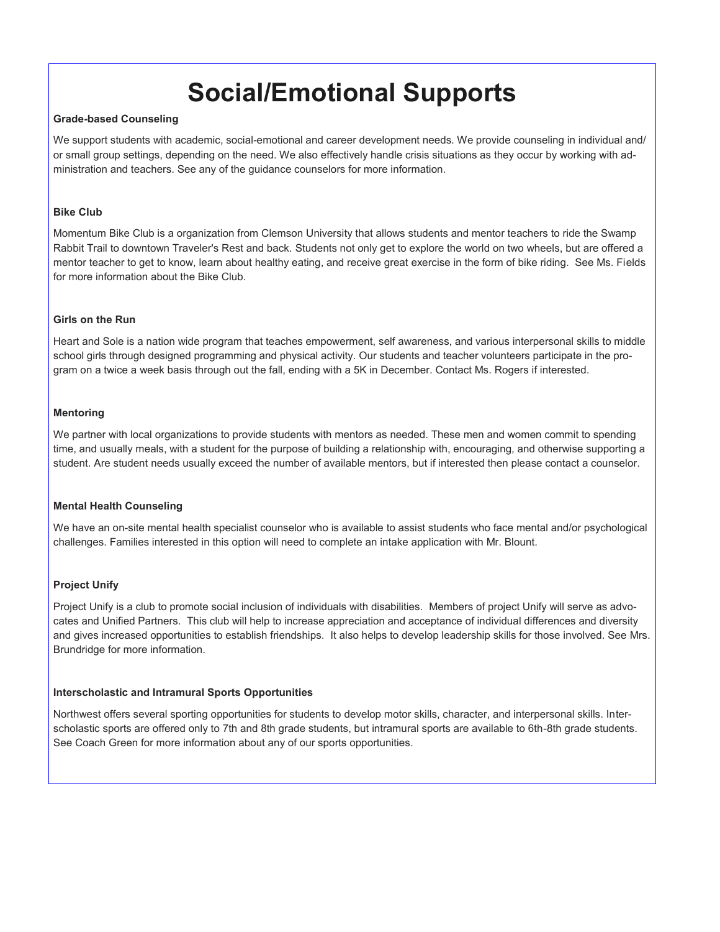### **Social/Emotional Supports**

#### **Grade-based Counseling**

We support students with academic, social-emotional and career development needs. We provide counseling in individual and/ or small group settings, depending on the need. We also effectively handle crisis situations as they occur by working with administration and teachers. See any of the guidance counselors for more information.

#### **Bike Club**

Momentum Bike Club is a organization from Clemson University that allows students and mentor teachers to ride the Swamp Rabbit Trail to downtown Traveler's Rest and back. Students not only get to explore the world on two wheels, but are offered a mentor teacher to get to know, learn about healthy eating, and receive great exercise in the form of bike riding. See Ms. Fields for more information about the Bike Club.

#### **Girls on the Run**

Heart and Sole is a nation wide program that teaches empowerment, self awareness, and various interpersonal skills to middle school girls through designed programming and physical activity. Our students and teacher volunteers participate in the program on a twice a week basis through out the fall, ending with a 5K in December. Contact Ms. Rogers if interested.

#### **Mentoring**

We partner with local organizations to provide students with mentors as needed. These men and women commit to spending time, and usually meals, with a student for the purpose of building a relationship with, encouraging, and otherwise supporting a student. Are student needs usually exceed the number of available mentors, but if interested then please contact a counselor.

#### **Mental Health Counseling**

We have an on-site mental health specialist counselor who is available to assist students who face mental and/or psychological challenges. Families interested in this option will need to complete an intake application with Mr. Blount.

#### **Project Unify**

Project Unify is a club to promote social inclusion of individuals with disabilities. Members of project Unify will serve as advocates and Unified Partners. This club will help to increase appreciation and acceptance of individual differences and diversity and gives increased opportunities to establish friendships. It also helps to develop leadership skills for those involved. See Mrs. Brundridge for more information.

#### **Interscholastic and Intramural Sports Opportunities**

Northwest offers several sporting opportunities for students to develop motor skills, character, and interpersonal skills. Interscholastic sports are offered only to 7th and 8th grade students, but intramural sports are available to 6th-8th grade students. See Coach Green for more information about any of our sports opportunities.